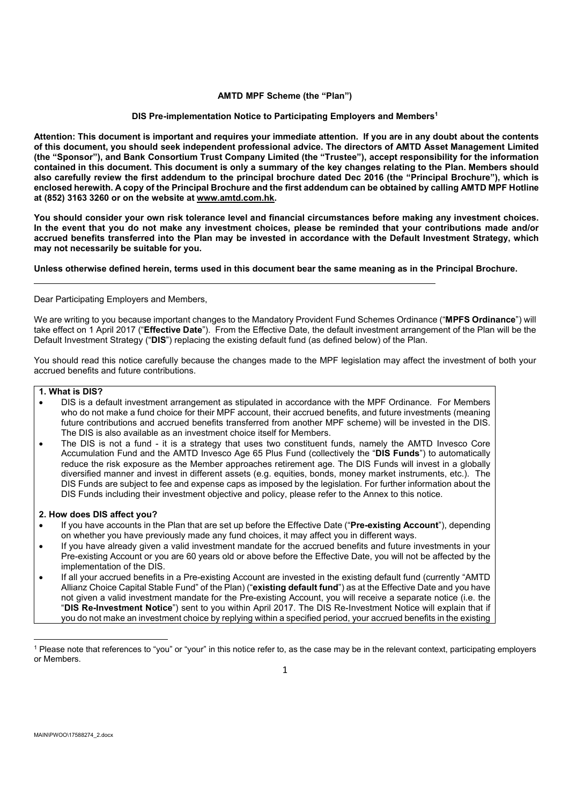## **AMTD MPF Scheme (the "Plan")**

# **DIS Pre-implementation Notice to Participating Employers and Members<sup>1</sup>**

**Attention: This document is important and requires your immediate attention. If you are in any doubt about the contents of this document, you should seek independent professional advice. The directors of AMTD Asset Management Limited (the "Sponsor"), and Bank Consortium Trust Company Limited (the "Trustee"), accept responsibility for the information contained in this document. This document is only a summary of the key changes relating to the Plan. Members should also carefully review the first addendum to the principal brochure dated Dec 2016 (the "Principal Brochure"), which is enclosed herewith. A copy of the Principal Brochure and the first addendum can be obtained by calling AMTD MPF Hotline at (852) 3163 3260 or on the website at www.amtd.com.hk.**

**You should consider your own risk tolerance level and financial circumstances before making any investment choices. In the event that you do not make any investment choices, please be reminded that your contributions made and/or accrued benefits transferred into the Plan may be invested in accordance with the Default Investment Strategy, which may not necessarily be suitable for you.** 

# **Unless otherwise defined herein, terms used in this document bear the same meaning as in the Principal Brochure.**

Dear Participating Employers and Members,

We are writing to you because important changes to the Mandatory Provident Fund Schemes Ordinance ("**MPFS Ordinance**") will take effect on 1 April 2017 ("**Effective Date**"). From the Effective Date, the default investment arrangement of the Plan will be the Default Investment Strategy ("**DIS**") replacing the existing default fund (as defined below) of the Plan.

You should read this notice carefully because the changes made to the MPF legislation may affect the investment of both your accrued benefits and future contributions.

## **1. What is DIS?**

- DIS is a default investment arrangement as stipulated in accordance with the MPF Ordinance. For Members who do not make a fund choice for their MPF account, their accrued benefits, and future investments (meaning future contributions and accrued benefits transferred from another MPF scheme) will be invested in the DIS. The DIS is also available as an investment choice itself for Members.
- The DIS is not a fund it is a strategy that uses two constituent funds, namely the AMTD Invesco Core Accumulation Fund and the AMTD Invesco Age 65 Plus Fund (collectively the "**DIS Funds**") to automatically reduce the risk exposure as the Member approaches retirement age. The DIS Funds will invest in a globally diversified manner and invest in different assets (e.g. equities, bonds, money market instruments, etc.). The DIS Funds are subject to fee and expense caps as imposed by the legislation. For further information about the DIS Funds including their investment objective and policy, please refer to the Annex to this notice.

## **2. How does DIS affect you?**

- If you have accounts in the Plan that are set up before the Effective Date ("**Pre-existing Account**"), depending on whether you have previously made any fund choices, it may affect you in different ways.
- If you have already given a valid investment mandate for the accrued benefits and future investments in your Pre-existing Account or you are 60 years old or above before the Effective Date, you will not be affected by the implementation of the DIS.
- If all your accrued benefits in a Pre-existing Account are invested in the existing default fund (currently "AMTD Allianz Choice Capital Stable Fund" of the Plan) ("**existing default fund**") as at the Effective Date and you have not given a valid investment mandate for the Pre-existing Account, you will receive a separate notice (i.e. the "**DIS Re-Investment Notice**") sent to you within April 2017. The DIS Re-Investment Notice will explain that if you do not make an investment choice by replying within a specified period, your accrued benefits in the existing

**.** 

<sup>&</sup>lt;sup>1</sup> Please note that references to "you" or "your" in this notice refer to, as the case may be in the relevant context, participating employers or Members.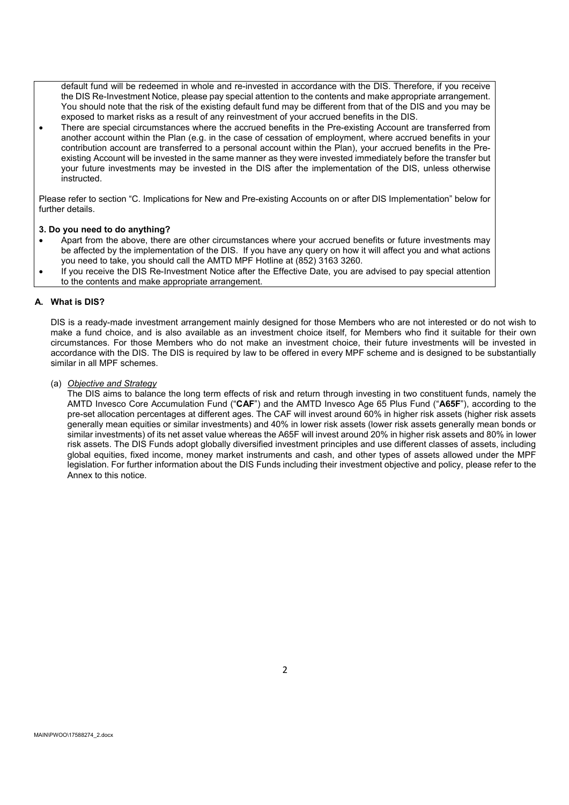default fund will be redeemed in whole and re-invested in accordance with the DIS. Therefore, if you receive the DIS Re-Investment Notice, please pay special attention to the contents and make appropriate arrangement. You should note that the risk of the existing default fund may be different from that of the DIS and you may be exposed to market risks as a result of any reinvestment of your accrued benefits in the DIS.

 There are special circumstances where the accrued benefits in the Pre-existing Account are transferred from another account within the Plan (e.g. in the case of cessation of employment, where accrued benefits in your contribution account are transferred to a personal account within the Plan), your accrued benefits in the Preexisting Account will be invested in the same manner as they were invested immediately before the transfer but your future investments may be invested in the DIS after the implementation of the DIS, unless otherwise instructed.

Please refer to section "C. Implications for New and Pre-existing Accounts on or after DIS Implementation" below for further details.

## **3. Do you need to do anything?**

- Apart from the above, there are other circumstances where your accrued benefits or future investments may be affected by the implementation of the DIS. If you have any query on how it will affect you and what actions you need to take, you should call the AMTD MPF Hotline at (852) 3163 3260.
- If you receive the DIS Re-Investment Notice after the Effective Date, you are advised to pay special attention to the contents and make appropriate arrangement.

## **A. What is DIS?**

DIS is a ready-made investment arrangement mainly designed for those Members who are not interested or do not wish to make a fund choice, and is also available as an investment choice itself, for Members who find it suitable for their own circumstances. For those Members who do not make an investment choice, their future investments will be invested in accordance with the DIS. The DIS is required by law to be offered in every MPF scheme and is designed to be substantially similar in all MPF schemes.

(a) *Objective and Strategy*

The DIS aims to balance the long term effects of risk and return through investing in two constituent funds, namely the AMTD Invesco Core Accumulation Fund ("**CAF**") and the AMTD Invesco Age 65 Plus Fund ("**A65F**"), according to the pre-set allocation percentages at different ages. The CAF will invest around 60% in higher risk assets (higher risk assets generally mean equities or similar investments) and 40% in lower risk assets (lower risk assets generally mean bonds or similar investments) of its net asset value whereas the A65F will invest around 20% in higher risk assets and 80% in lower risk assets. The DIS Funds adopt globally diversified investment principles and use different classes of assets, including global equities, fixed income, money market instruments and cash, and other types of assets allowed under the MPF legislation. For further information about the DIS Funds including their investment objective and policy, please refer to the Annex to this notice.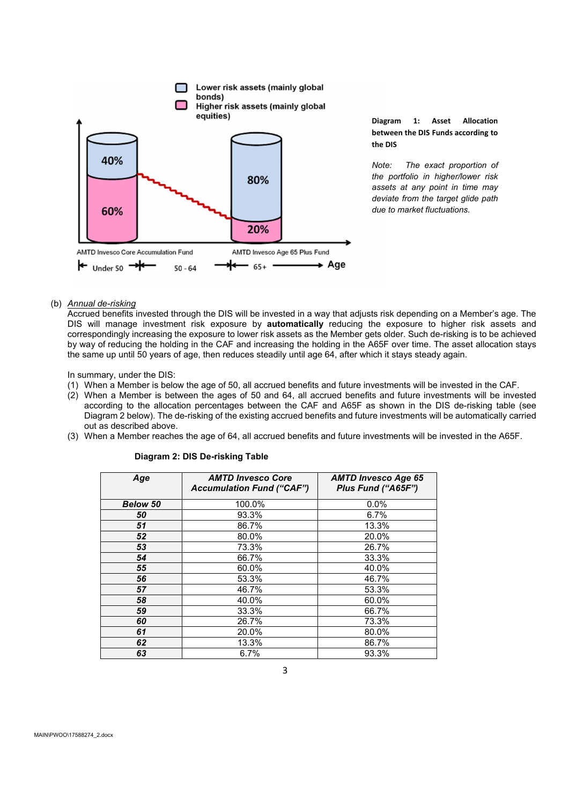

**Diagram 1: Asset Allocation between the DIS Funds according to the DIS**

*Note: The exact proportion of the portfolio in higher/lower risk assets at any point in time may deviate from the target glide path due to market fluctuations.*

## (b) *Annual de-risking*

Accrued benefits invested through the DIS will be invested in a way that adjusts risk depending on a Member's age. The DIS will manage investment risk exposure by **automatically** reducing the exposure to higher risk assets and correspondingly increasing the exposure to lower risk assets as the Member gets older. Such de-risking is to be achieved by way of reducing the holding in the CAF and increasing the holding in the A65F over time. The asset allocation stays the same up until 50 years of age, then reduces steadily until age 64, after which it stays steady again.

In summary, under the DIS:

- (1) When a Member is below the age of 50, all accrued benefits and future investments will be invested in the CAF.
- (2) When a Member is between the ages of 50 and 64, all accrued benefits and future investments will be invested according to the allocation percentages between the CAF and A65F as shown in the DIS de-risking table (see Diagram 2 below). The de-risking of the existing accrued benefits and future investments will be automatically carried out as described above.
- (3) When a Member reaches the age of 64, all accrued benefits and future investments will be invested in the A65F.

| Age             | <b>AMTD Invesco Core</b><br><b>Accumulation Fund ("CAF")</b> | <b>AMTD Invesco Age 65</b><br>Plus Fund ("A65F") |
|-----------------|--------------------------------------------------------------|--------------------------------------------------|
| <b>Below 50</b> | 100.0%                                                       | 0.0%                                             |
| 50              | 93.3%                                                        | 6.7%                                             |
| 51              | 86.7%                                                        | 13.3%                                            |
| 52              | 80.0%                                                        | 20.0%                                            |
| 53              | 73.3%                                                        | 26.7%                                            |
| 54              | 66.7%                                                        | 33.3%                                            |
| 55              | 60.0%                                                        | 40.0%                                            |
| 56              | 53.3%                                                        | 46.7%                                            |
| 57              | 46.7%                                                        | 53.3%                                            |
| 58              | 40.0%                                                        | 60.0%                                            |
| 59              | 33.3%                                                        | 66.7%                                            |
| 60              | 26.7%                                                        | 73.3%                                            |
| 61              | 20.0%                                                        | 80.0%                                            |
| 62              | 13.3%                                                        | 86.7%                                            |
| 63              | 6.7%                                                         | 93.3%                                            |

## **Diagram 2: DIS De-risking Table**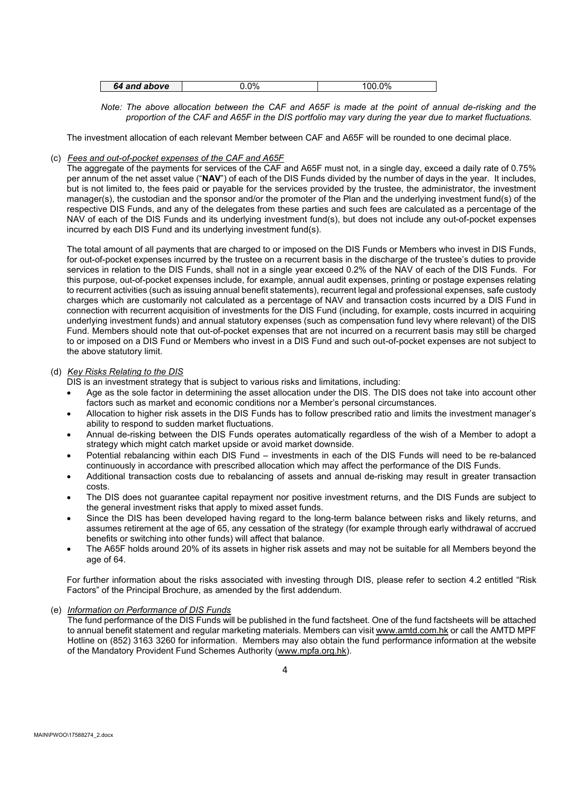| 00/<br>nn.<br>nr<br>above<br>and<br>64<br>70<br>.v. |
|-----------------------------------------------------|
|-----------------------------------------------------|

*Note: The above allocation between the CAF and A65F is made at the point of annual de-risking and the proportion of the CAF and A65F in the DIS portfolio may vary during the year due to market fluctuations.*

The investment allocation of each relevant Member between CAF and A65F will be rounded to one decimal place.

## (c) *Fees and out-of-pocket expenses of the CAF and A65F*

The aggregate of the payments for services of the CAF and A65F must not, in a single day, exceed a daily rate of 0.75% per annum of the net asset value ("**NAV**") of each of the DIS Funds divided by the number of days in the year. It includes, but is not limited to, the fees paid or payable for the services provided by the trustee, the administrator, the investment manager(s), the custodian and the sponsor and/or the promoter of the Plan and the underlying investment fund(s) of the respective DIS Funds, and any of the delegates from these parties and such fees are calculated as a percentage of the NAV of each of the DIS Funds and its underlying investment fund(s), but does not include any out-of-pocket expenses incurred by each DIS Fund and its underlying investment fund(s).

The total amount of all payments that are charged to or imposed on the DIS Funds or Members who invest in DIS Funds, for out-of-pocket expenses incurred by the trustee on a recurrent basis in the discharge of the trustee's duties to provide services in relation to the DIS Funds, shall not in a single year exceed 0.2% of the NAV of each of the DIS Funds. For this purpose, out-of-pocket expenses include, for example, annual audit expenses, printing or postage expenses relating to recurrent activities (such as issuing annual benefit statements), recurrent legal and professional expenses, safe custody charges which are customarily not calculated as a percentage of NAV and transaction costs incurred by a DIS Fund in connection with recurrent acquisition of investments for the DIS Fund (including, for example, costs incurred in acquiring underlying investment funds) and annual statutory expenses (such as compensation fund levy where relevant) of the DIS Fund. Members should note that out-of-pocket expenses that are not incurred on a recurrent basis may still be charged to or imposed on a DIS Fund or Members who invest in a DIS Fund and such out-of-pocket expenses are not subject to the above statutory limit.

## (d) *Key Risks Relating to the DIS*

DIS is an investment strategy that is subject to various risks and limitations, including:

- Age as the sole factor in determining the asset allocation under the DIS. The DIS does not take into account other factors such as market and economic conditions nor a Member's personal circumstances.
- Allocation to higher risk assets in the DIS Funds has to follow prescribed ratio and limits the investment manager's ability to respond to sudden market fluctuations.
- Annual de-risking between the DIS Funds operates automatically regardless of the wish of a Member to adopt a strategy which might catch market upside or avoid market downside.
- Potential rebalancing within each DIS Fund investments in each of the DIS Funds will need to be re-balanced continuously in accordance with prescribed allocation which may affect the performance of the DIS Funds.
- Additional transaction costs due to rebalancing of assets and annual de-risking may result in greater transaction costs.
- The DIS does not guarantee capital repayment nor positive investment returns, and the DIS Funds are subject to the general investment risks that apply to mixed asset funds.
- Since the DIS has been developed having regard to the long-term balance between risks and likely returns, and assumes retirement at the age of 65, any cessation of the strategy (for example through early withdrawal of accrued benefits or switching into other funds) will affect that balance.
- The A65F holds around 20% of its assets in higher risk assets and may not be suitable for all Members beyond the age of 64.

For further information about the risks associated with investing through DIS, please refer to section 4.2 entitled "Risk Factors" of the Principal Brochure, as amended by the first addendum.

## (e) *Information on Performance of DIS Funds*

The fund performance of the DIS Funds will be published in the fund factsheet. One of the fund factsheets will be attached to annual benefit statement and regular marketing materials. Members can visit www.amtd.com.hk or call the AMTD MPF Hotline on (852) 3163 3260 for information. Members may also obtain the fund performance information at the website of the Mandatory Provident Fund Schemes Authority (www.mpfa.org.hk).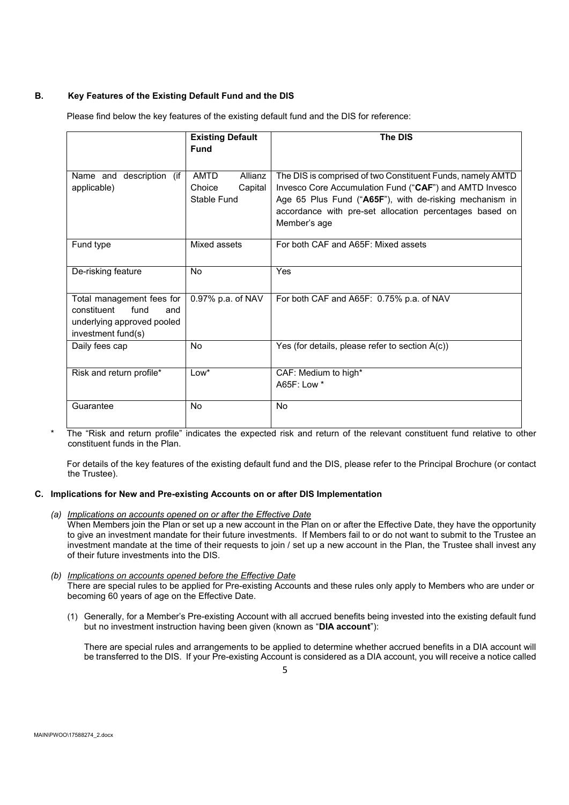## **B. Key Features of the Existing Default Fund and the DIS**

Please find below the key features of the existing default fund and the DIS for reference:

|                                | <b>Existing Default</b> | The DIS                                                    |
|--------------------------------|-------------------------|------------------------------------------------------------|
|                                | <b>Fund</b>             |                                                            |
|                                |                         |                                                            |
| (if<br>Name and<br>description | <b>AMTD</b><br>Allianz  | The DIS is comprised of two Constituent Funds, namely AMTD |
| applicable)                    | Capital<br>Choice       | Invesco Core Accumulation Fund ("CAF") and AMTD Invesco    |
|                                | Stable Fund             | Age 65 Plus Fund ("A65F"), with de-risking mechanism in    |
|                                |                         | accordance with pre-set allocation percentages based on    |
|                                |                         | Member's age                                               |
| Fund type                      | Mixed assets            | For both CAF and A65F: Mixed assets                        |
|                                |                         |                                                            |
| De-risking feature             | <b>No</b>               | Yes                                                        |
|                                |                         |                                                            |
| Total management fees for      | 0.97% p.a. of NAV       | For both CAF and A65F: 0.75% p.a. of NAV                   |
| constituent<br>fund<br>and     |                         |                                                            |
| underlying approved pooled     |                         |                                                            |
| investment fund(s)             |                         |                                                            |
| Daily fees cap                 | <b>No</b>               | Yes (for details, please refer to section A(c))            |
|                                |                         |                                                            |
| Risk and return profile*       | $Low*$                  | CAF: Medium to high*<br>A65F: Low *                        |
|                                |                         |                                                            |
| Guarantee                      | <b>No</b>               | <b>No</b>                                                  |
|                                |                         |                                                            |

The "Risk and return profile" indicates the expected risk and return of the relevant constituent fund relative to other constituent funds in the Plan.

For details of the key features of the existing default fund and the DIS, please refer to the Principal Brochure (or contact the Trustee).

## **C. Implications for New and Pre-existing Accounts on or after DIS Implementation**

- *(a) Implications on accounts opened on or after the Effective Date* When Members join the Plan or set up a new account in the Plan on or after the Effective Date, they have the opportunity to give an investment mandate for their future investments. If Members fail to or do not want to submit to the Trustee an investment mandate at the time of their requests to join / set up a new account in the Plan, the Trustee shall invest any of their future investments into the DIS.
- *(b) Implications on accounts opened before the Effective Date* There are special rules to be applied for Pre-existing Accounts and these rules only apply to Members who are under or becoming 60 years of age on the Effective Date.
	- (1) Generally, for a Member's Pre-existing Account with all accrued benefits being invested into the existing default fund but no investment instruction having been given (known as "**DIA account**"):

There are special rules and arrangements to be applied to determine whether accrued benefits in a DIA account will be transferred to the DIS. If your Pre-existing Account is considered as a DIA account, you will receive a notice called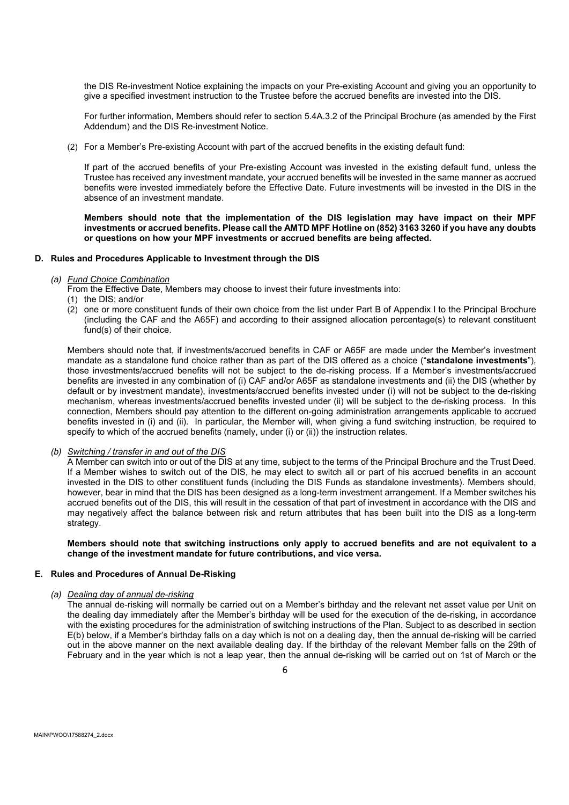the DIS Re-investment Notice explaining the impacts on your Pre-existing Account and giving you an opportunity to give a specified investment instruction to the Trustee before the accrued benefits are invested into the DIS.

For further information, Members should refer to section 5.4A.3.2 of the Principal Brochure (as amended by the First Addendum) and the DIS Re-investment Notice.

(2) For a Member's Pre-existing Account with part of the accrued benefits in the existing default fund:

If part of the accrued benefits of your Pre-existing Account was invested in the existing default fund, unless the Trustee has received any investment mandate, your accrued benefits will be invested in the same manner as accrued benefits were invested immediately before the Effective Date. Future investments will be invested in the DIS in the absence of an investment mandate.

**Members should note that the implementation of the DIS legislation may have impact on their MPF investments or accrued benefits. Please call the AMTD MPF Hotline on (852) 3163 3260 if you have any doubts or questions on how your MPF investments or accrued benefits are being affected.**

## **D. Rules and Procedures Applicable to Investment through the DIS**

#### *(a) Fund Choice Combination*

From the Effective Date, Members may choose to invest their future investments into:

- (1) the DIS; and/or
- (2) one or more constituent funds of their own choice from the list under Part B of Appendix I to the Principal Brochure (including the CAF and the A65F) and according to their assigned allocation percentage(s) to relevant constituent fund(s) of their choice.

Members should note that, if investments/accrued benefits in CAF or A65F are made under the Member's investment mandate as a standalone fund choice rather than as part of the DIS offered as a choice ("**standalone investments**"), those investments/accrued benefits will not be subject to the de-risking process. If a Member's investments/accrued benefits are invested in any combination of (i) CAF and/or A65F as standalone investments and (ii) the DIS (whether by default or by investment mandate), investments/accrued benefits invested under (i) will not be subject to the de-risking mechanism, whereas investments/accrued benefits invested under (ii) will be subject to the de-risking process. In this connection, Members should pay attention to the different on-going administration arrangements applicable to accrued benefits invested in (i) and (ii). In particular, the Member will, when giving a fund switching instruction, be required to specify to which of the accrued benefits (namely, under (i) or (ii)) the instruction relates.

#### *(b) Switching / transfer in and out of the DIS*

A Member can switch into or out of the DIS at any time, subject to the terms of the Principal Brochure and the Trust Deed. If a Member wishes to switch out of the DIS, he may elect to switch all or part of his accrued benefits in an account invested in the DIS to other constituent funds (including the DIS Funds as standalone investments). Members should, however, bear in mind that the DIS has been designed as a long-term investment arrangement. If a Member switches his accrued benefits out of the DIS, this will result in the cessation of that part of investment in accordance with the DIS and may negatively affect the balance between risk and return attributes that has been built into the DIS as a long-term strategy.

**Members should note that switching instructions only apply to accrued benefits and are not equivalent to a change of the investment mandate for future contributions, and vice versa.**

#### **E. Rules and Procedures of Annual De-Risking**

## *(a) Dealing day of annual de-risking*

The annual de-risking will normally be carried out on a Member's birthday and the relevant net asset value per Unit on the dealing day immediately after the Member's birthday will be used for the execution of the de-risking, in accordance with the existing procedures for the administration of switching instructions of the Plan. Subject to as described in section E(b) below, if a Member's birthday falls on a day which is not on a dealing day, then the annual de-risking will be carried out in the above manner on the next available dealing day. If the birthday of the relevant Member falls on the 29th of February and in the year which is not a leap year, then the annual de-risking will be carried out on 1st of March or the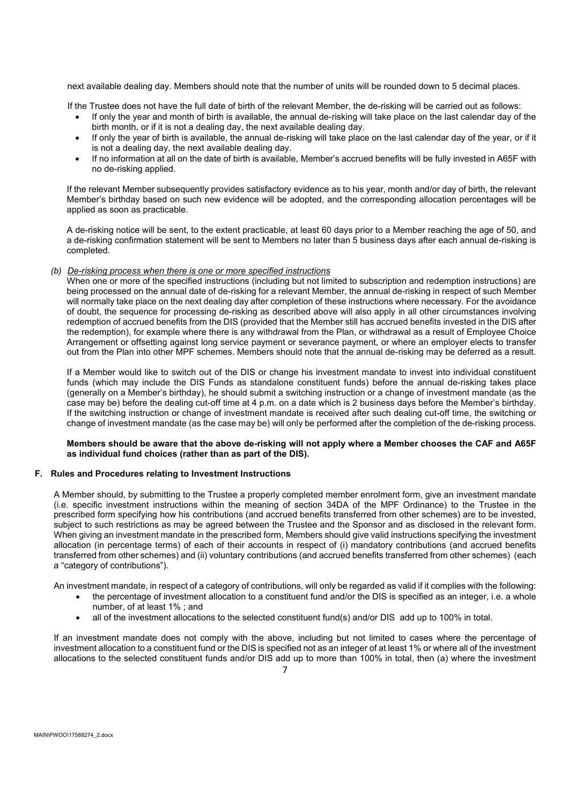next available dealing day. Members should note that the number of units will be rounded down to 5 decimal places.

If the Trustee does not have the full date of birth of the relevant Member, the de-risking will be carried out as follows:

- If only the year and month of birth is available, the annual de-risking will take place on the last calendar day of the birth month, or if it is not a dealing day, the next available dealing day.
- If only the year of birth is available, the annual de-risking will take place on the last calendar day of the year, or if it is not a dealing day, the next available dealing day.
- If no information at all on the date of birth is available, Member's accrued benefits will be fully invested in A65F with no de-risking applied.

If the relevant Member subsequently provides satisfactory evidence as to his year, month and/or day of birth, the relevant Member's birthday based on such new evidence will be adopted, and the corresponding allocation percentages will be applied as soon as practicable.

A de-risking notice will be sent, to the extent practicable, at least 60 days prior to a Member reaching the age of 50, and a de-risking confirmation statement will be sent to Members no later than 5 business days after each annual de-risking is completed.

## *(b) De-risking process when there is one or more specified instructions*

When one or more of the specified instructions (including but not limited to subscription and redemption instructions) are being processed on the annual date of de-risking for a relevant Member, the annual de-risking in respect of such Member will normally take place on the next dealing day after completion of these instructions where necessary. For the avoidance of doubt, the sequence for processing de-risking as described above will also apply in all other circumstances involving redemption of accrued benefits from the DIS (provided that the Member still has accrued benefits invested in the DIS after the redemption), for example where there is any withdrawal from the Plan, or withdrawal as a result of Employee Choice Arrangement or offsetting against long service payment or severance payment, or where an employer elects to transfer out from the Plan into other MPF schemes. Members should note that the annual de-risking may be deferred as a result.

If a Member would like to switch out of the DIS or change his investment mandate to invest into individual constituent funds (which may include the DIS Funds as standalone constituent funds) before the annual de-risking takes place (generally on a Member's birthday), he should submit a switching instruction or a change of investment mandate (as the case may be) before the dealing cut-off time at 4 p.m. on a date which is 2 business days before the Member's birthday. If the switching instruction or change of investment mandate is received after such dealing cut-off time, the switching or change of investment mandate (as the case may be) will only be performed after the completion of the de-risking process.

## **Members should be aware that the above de-risking will not apply where a Member chooses the CAF and A65F as individual fund choices (rather than as part of the DIS).**

## **F. Rules and Procedures relating to Investment Instructions**

A Member should, by submitting to the Trustee a properly completed member enrolment form, give an investment mandate (i.e. specific investment instructions within the meaning of section 34DA of the MPF Ordinance) to the Trustee in the prescribed form specifying how his contributions (and accrued benefits transferred from other schemes) are to be invested, subject to such restrictions as may be agreed between the Trustee and the Sponsor and as disclosed in the relevant form. When giving an investment mandate in the prescribed form, Members should give valid instructions specifying the investment allocation (in percentage terms) of each of their accounts in respect of (i) mandatory contributions (and accrued benefits transferred from other schemes) and (ii) voluntary contributions (and accrued benefits transferred from other schemes) (each a "category of contributions").

An investment mandate, in respect of a category of contributions, will only be regarded as valid if it complies with the following:

- the percentage of investment allocation to a constituent fund and/or the DIS is specified as an integer, i.e. a whole number, of at least 1% ; and
- all of the investment allocations to the selected constituent fund(s) and/or DIS add up to 100% in total.

If an investment mandate does not comply with the above, including but not limited to cases where the percentage of investment allocation to a constituent fund or the DIS is specified not as an integer of at least 1% or where all of the investment allocations to the selected constituent funds and/or DIS add up to more than 100% in total, then (a) where the investment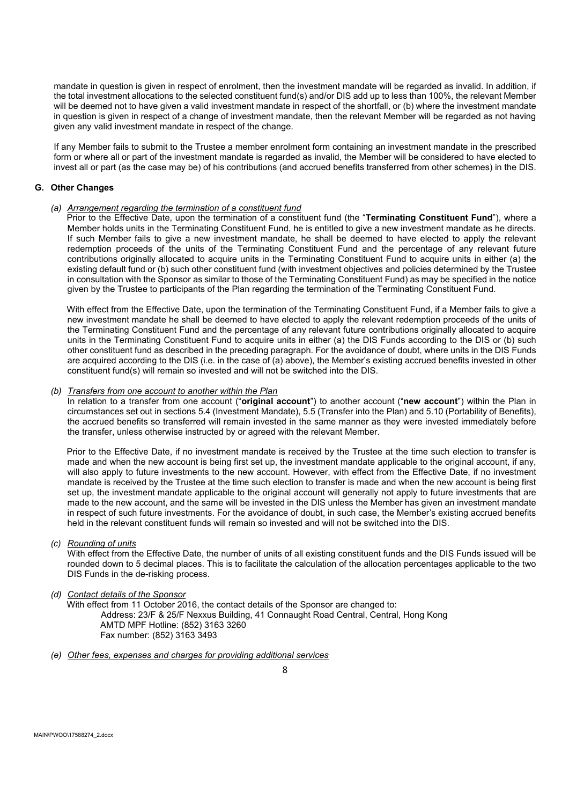mandate in question is given in respect of enrolment, then the investment mandate will be regarded as invalid. In addition, if the total investment allocations to the selected constituent fund(s) and/or DIS add up to less than 100%, the relevant Member will be deemed not to have given a valid investment mandate in respect of the shortfall, or (b) where the investment mandate in question is given in respect of a change of investment mandate, then the relevant Member will be regarded as not having given any valid investment mandate in respect of the change.

If any Member fails to submit to the Trustee a member enrolment form containing an investment mandate in the prescribed form or where all or part of the investment mandate is regarded as invalid, the Member will be considered to have elected to invest all or part (as the case may be) of his contributions (and accrued benefits transferred from other schemes) in the DIS.

## **G. Other Changes**

#### *(a) Arrangement regarding the termination of a constituent fund*

Prior to the Effective Date, upon the termination of a constituent fund (the "**Terminating Constituent Fund**"), where a Member holds units in the Terminating Constituent Fund, he is entitled to give a new investment mandate as he directs. If such Member fails to give a new investment mandate, he shall be deemed to have elected to apply the relevant redemption proceeds of the units of the Terminating Constituent Fund and the percentage of any relevant future contributions originally allocated to acquire units in the Terminating Constituent Fund to acquire units in either (a) the existing default fund or (b) such other constituent fund (with investment objectives and policies determined by the Trustee in consultation with the Sponsor as similar to those of the Terminating Constituent Fund) as may be specified in the notice given by the Trustee to participants of the Plan regarding the termination of the Terminating Constituent Fund.

With effect from the Effective Date, upon the termination of the Terminating Constituent Fund, if a Member fails to give a new investment mandate he shall be deemed to have elected to apply the relevant redemption proceeds of the units of the Terminating Constituent Fund and the percentage of any relevant future contributions originally allocated to acquire units in the Terminating Constituent Fund to acquire units in either (a) the DIS Funds according to the DIS or (b) such other constituent fund as described in the preceding paragraph. For the avoidance of doubt, where units in the DIS Funds are acquired according to the DIS (i.e. in the case of (a) above), the Member's existing accrued benefits invested in other constituent fund(s) will remain so invested and will not be switched into the DIS.

#### *(b) Transfers from one account to another within the Plan*

In relation to a transfer from one account ("**original account**") to another account ("**new account**") within the Plan in circumstances set out in sections 5.4 (Investment Mandate), 5.5 (Transfer into the Plan) and 5.10 (Portability of Benefits), the accrued benefits so transferred will remain invested in the same manner as they were invested immediately before the transfer, unless otherwise instructed by or agreed with the relevant Member.

Prior to the Effective Date, if no investment mandate is received by the Trustee at the time such election to transfer is made and when the new account is being first set up, the investment mandate applicable to the original account, if any, will also apply to future investments to the new account. However, with effect from the Effective Date, if no investment mandate is received by the Trustee at the time such election to transfer is made and when the new account is being first set up, the investment mandate applicable to the original account will generally not apply to future investments that are made to the new account, and the same will be invested in the DIS unless the Member has given an investment mandate in respect of such future investments. For the avoidance of doubt, in such case, the Member's existing accrued benefits held in the relevant constituent funds will remain so invested and will not be switched into the DIS.

#### *(c) Rounding of units*

With effect from the Effective Date, the number of units of all existing constituent funds and the DIS Funds issued will be rounded down to 5 decimal places. This is to facilitate the calculation of the allocation percentages applicable to the two DIS Funds in the de-risking process.

## *(d) Contact details of the Sponsor*

With effect from 11 October 2016, the contact details of the Sponsor are changed to: Address: 23/F & 25/F Nexxus Building, 41 Connaught Road Central, Central, Hong Kong AMTD MPF Hotline: (852) 3163 3260 Fax number: (852) 3163 3493

*(e) Other fees, expenses and charges for providing additional services*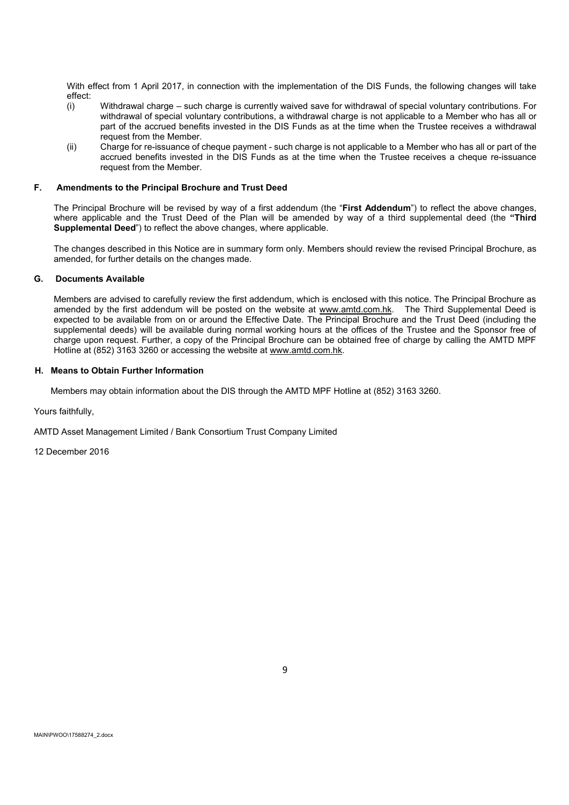With effect from 1 April 2017, in connection with the implementation of the DIS Funds, the following changes will take effect:

- (i) Withdrawal charge such charge is currently waived save for withdrawal of special voluntary contributions. For withdrawal of special voluntary contributions, a withdrawal charge is not applicable to a Member who has all or part of the accrued benefits invested in the DIS Funds as at the time when the Trustee receives a withdrawal request from the Member.
- (ii) Charge for re-issuance of cheque payment such charge is not applicable to a Member who has all or part of the accrued benefits invested in the DIS Funds as at the time when the Trustee receives a cheque re-issuance request from the Member.

## **F. Amendments to the Principal Brochure and Trust Deed**

The Principal Brochure will be revised by way of a first addendum (the "**First Addendum**") to reflect the above changes, where applicable and the Trust Deed of the Plan will be amended by way of a third supplemental deed (the **"Third Supplemental Deed**") to reflect the above changes, where applicable.

The changes described in this Notice are in summary form only. Members should review the revised Principal Brochure, as amended, for further details on the changes made.

## **G. Documents Available**

Members are advised to carefully review the first addendum, which is enclosed with this notice. The Principal Brochure as amended by the first addendum will be posted on the website at www.amtd.com.hk. The Third Supplemental Deed is expected to be available from on or around the Effective Date. The Principal Brochure and the Trust Deed (including the supplemental deeds) will be available during normal working hours at the offices of the Trustee and the Sponsor free of charge upon request. Further, a copy of the Principal Brochure can be obtained free of charge by calling the AMTD MPF Hotline at (852) 3163 3260 or accessing the website at www.amtd.com.hk.

## **H. Means to Obtain Further Information**

Members may obtain information about the DIS through the AMTD MPF Hotline at (852) 3163 3260.

Yours faithfully,

AMTD Asset Management Limited / Bank Consortium Trust Company Limited

12 December 2016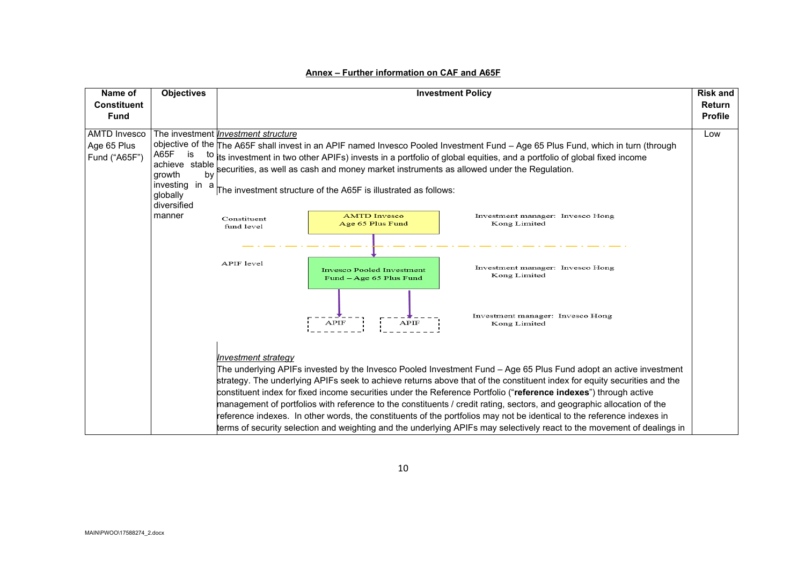| Name of                                                                                                                             | <b>Objectives</b>                                                                                                                                                                                                                                                                                                                                                                                                            | <b>Investment Policy</b>                                                                                                                                                                                                                                                                                                                                                                                                                                                                                                                                                                                                                                                                                                                                                | <b>Risk and</b>                 |
|-------------------------------------------------------------------------------------------------------------------------------------|------------------------------------------------------------------------------------------------------------------------------------------------------------------------------------------------------------------------------------------------------------------------------------------------------------------------------------------------------------------------------------------------------------------------------|-------------------------------------------------------------------------------------------------------------------------------------------------------------------------------------------------------------------------------------------------------------------------------------------------------------------------------------------------------------------------------------------------------------------------------------------------------------------------------------------------------------------------------------------------------------------------------------------------------------------------------------------------------------------------------------------------------------------------------------------------------------------------|---------------------------------|
| <b>Constituent</b><br><b>Fund</b>                                                                                                   |                                                                                                                                                                                                                                                                                                                                                                                                                              |                                                                                                                                                                                                                                                                                                                                                                                                                                                                                                                                                                                                                                                                                                                                                                         | <b>Return</b><br><b>Profile</b> |
| <b>AMTD Invesco</b>                                                                                                                 |                                                                                                                                                                                                                                                                                                                                                                                                                              | The investment <i>Investment structure</i>                                                                                                                                                                                                                                                                                                                                                                                                                                                                                                                                                                                                                                                                                                                              | Low                             |
| Age 65 Plus<br>A65F<br>is<br>Fund ("A65F")<br>achieve stable<br>growth<br>by<br>investing in a<br>globally<br>diversified<br>manner | objective of the The A65F shall invest in an APIF named Invesco Pooled Investment Fund - Age 65 Plus Fund, which in turn (through<br>to its investment in two other APIFs) invests in a portfolio of global equities, and a portfolio of global fixed income<br>securities, as well as cash and money market instruments as allowed under the Regulation.<br>The investment structure of the A65F is illustrated as follows: |                                                                                                                                                                                                                                                                                                                                                                                                                                                                                                                                                                                                                                                                                                                                                                         |                                 |
|                                                                                                                                     |                                                                                                                                                                                                                                                                                                                                                                                                                              | <b>AMTD</b> Invesco<br>Investment manager: Invesco Hong<br>Constituent<br>Age 65 Plus Fund<br>Kong Limited<br>fund level                                                                                                                                                                                                                                                                                                                                                                                                                                                                                                                                                                                                                                                |                                 |
|                                                                                                                                     | APIF level<br>Investment manager: Invesco Hong<br><b>Invesco Pooled Investment</b><br>Kong Limited<br>Fund - Age 65 Plus Fund                                                                                                                                                                                                                                                                                                |                                                                                                                                                                                                                                                                                                                                                                                                                                                                                                                                                                                                                                                                                                                                                                         |                                 |
|                                                                                                                                     |                                                                                                                                                                                                                                                                                                                                                                                                                              | Investment manager: Invesco Hong<br><b>APIF</b><br>APIF<br>Kong Limited                                                                                                                                                                                                                                                                                                                                                                                                                                                                                                                                                                                                                                                                                                 |                                 |
|                                                                                                                                     |                                                                                                                                                                                                                                                                                                                                                                                                                              | Investment strategy<br>The underlying APIFs invested by the Invesco Pooled Investment Fund - Age 65 Plus Fund adopt an active investment<br>strategy. The underlying APIFs seek to achieve returns above that of the constituent index for equity securities and the<br>constituent index for fixed income securities under the Reference Portfolio ("reference indexes") through active<br>management of portfolios with reference to the constituents / credit rating, sectors, and geographic allocation of the<br>reference indexes. In other words, the constituents of the portfolios may not be identical to the reference indexes in<br>terms of security selection and weighting and the underlying APIFs may selectively react to the movement of dealings in |                                 |

# **Annex – Further information on CAF and A65F**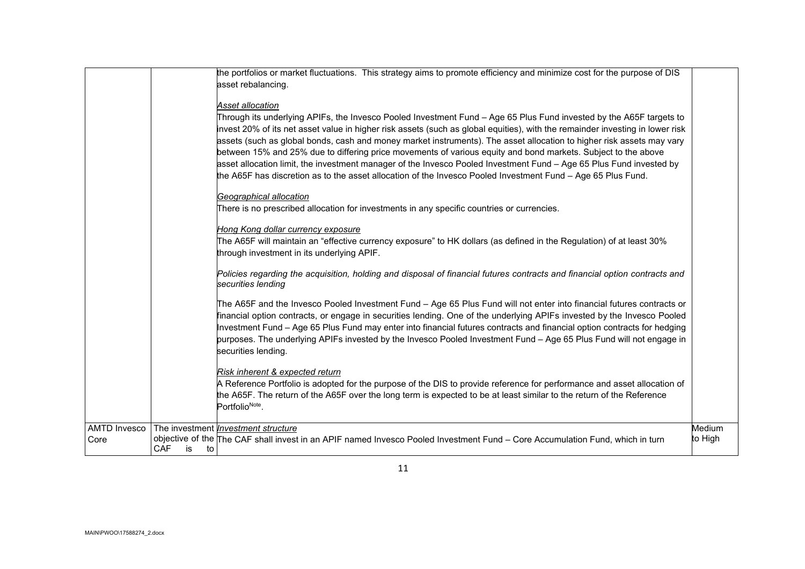|                             | the portfolios or market fluctuations. This strategy aims to promote efficiency and minimize cost for the purpose of DIS<br>asset rebalancing.<br>Asset allocation<br>Through its underlying APIFs, the Invesco Pooled Investment Fund - Age 65 Plus Fund invested by the A65F targets to<br>invest 20% of its net asset value in higher risk assets (such as global equities), with the remainder investing in lower risk<br>assets (such as global bonds, cash and money market instruments). The asset allocation to higher risk assets may vary<br>between 15% and 25% due to differing price movements of various equity and bond markets. Subject to the above<br>asset allocation limit, the investment manager of the Invesco Pooled Investment Fund - Age 65 Plus Fund invested by<br>the A65F has discretion as to the asset allocation of the Invesco Pooled Investment Fund - Age 65 Plus Fund.<br>Geographical allocation<br>There is no prescribed allocation for investments in any specific countries or currencies.<br>Hong Kong dollar currency exposure<br>The A65F will maintain an "effective currency exposure" to HK dollars (as defined in the Regulation) of at least 30%<br>through investment in its underlying APIF.<br>Policies regarding the acquisition, holding and disposal of financial futures contracts and financial option contracts and<br>securities lending<br>The A65F and the Invesco Pooled Investment Fund - Age 65 Plus Fund will not enter into financial futures contracts or<br>financial option contracts, or engage in securities lending. One of the underlying APIFs invested by the Invesco Pooled<br>Investment Fund - Age 65 Plus Fund may enter into financial futures contracts and financial option contracts for hedging<br>purposes. The underlying APIFs invested by the Invesco Pooled Investment Fund - Age 65 Plus Fund will not engage in<br>securities lending.<br>Risk inherent & expected return<br>A Reference Portfolio is adopted for the purpose of the DIS to provide reference for performance and asset allocation of |                   |
|-----------------------------|---------------------------------------------------------------------------------------------------------------------------------------------------------------------------------------------------------------------------------------------------------------------------------------------------------------------------------------------------------------------------------------------------------------------------------------------------------------------------------------------------------------------------------------------------------------------------------------------------------------------------------------------------------------------------------------------------------------------------------------------------------------------------------------------------------------------------------------------------------------------------------------------------------------------------------------------------------------------------------------------------------------------------------------------------------------------------------------------------------------------------------------------------------------------------------------------------------------------------------------------------------------------------------------------------------------------------------------------------------------------------------------------------------------------------------------------------------------------------------------------------------------------------------------------------------------------------------------------------------------------------------------------------------------------------------------------------------------------------------------------------------------------------------------------------------------------------------------------------------------------------------------------------------------------------------------------------------------------------------------------------------------------------------------------------------------------------------------------------|-------------------|
|                             | the A65F. The return of the A65F over the long term is expected to be at least similar to the return of the Reference<br>PortfolioNote.                                                                                                                                                                                                                                                                                                                                                                                                                                                                                                                                                                                                                                                                                                                                                                                                                                                                                                                                                                                                                                                                                                                                                                                                                                                                                                                                                                                                                                                                                                                                                                                                                                                                                                                                                                                                                                                                                                                                                           |                   |
| <b>AMTD Invesco</b><br>Core | The investment <i>Investment structure</i><br>objective of the The CAF shall invest in an APIF named Invesco Pooled Investment Fund – Core Accumulation Fund, which in turn<br>CAF<br>is<br>to                                                                                                                                                                                                                                                                                                                                                                                                                                                                                                                                                                                                                                                                                                                                                                                                                                                                                                                                                                                                                                                                                                                                                                                                                                                                                                                                                                                                                                                                                                                                                                                                                                                                                                                                                                                                                                                                                                    | Medium<br>to High |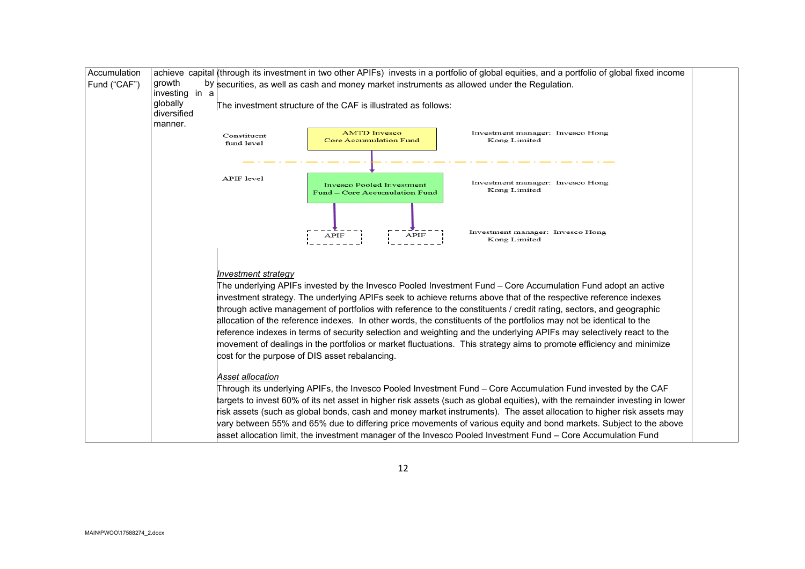